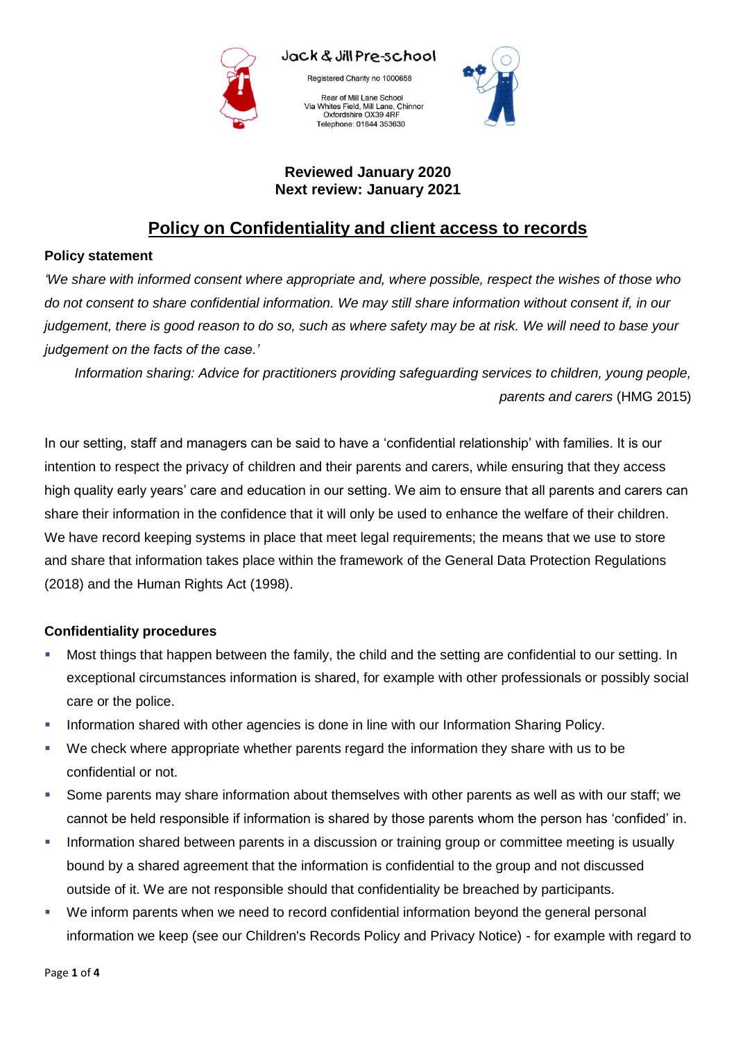

Jack & Jill Pre-school

Registered Charity no 1000658

Rear of Mill Lane School Via Whites Field, Mill Lane, Chinnor<br>Oxfordshire OX39 4RF Telephone: 01844 353630



## **Reviewed January 2020 Next review: January 2021**

# **Policy on Confidentiality and client access to records**

#### **Policy statement**

*'We share with informed consent where appropriate and, where possible, respect the wishes of those who do not consent to share confidential information. We may still share information without consent if, in our judgement, there is good reason to do so, such as where safety may be at risk. We will need to base your judgement on the facts of the case.'*

*Information sharing: Advice for practitioners providing safeguarding services to children, young people, parents and carers* (HMG 2015)

In our setting, staff and managers can be said to have a 'confidential relationship' with families. It is our intention to respect the privacy of children and their parents and carers, while ensuring that they access high quality early years' care and education in our setting. We aim to ensure that all parents and carers can share their information in the confidence that it will only be used to enhance the welfare of their children. We have record keeping systems in place that meet legal requirements; the means that we use to store and share that information takes place within the framework of the General Data Protection Regulations (2018) and the Human Rights Act (1998).

## **Confidentiality procedures**

- Most things that happen between the family, the child and the setting are confidential to our setting. In exceptional circumstances information is shared, for example with other professionals or possibly social care or the police.
- Information shared with other agencies is done in line with our Information Sharing Policy.
- We check where appropriate whether parents regard the information they share with us to be confidential or not.
- Some parents may share information about themselves with other parents as well as with our staff; we cannot be held responsible if information is shared by those parents whom the person has 'confided' in.
- Information shared between parents in a discussion or training group or committee meeting is usually bound by a shared agreement that the information is confidential to the group and not discussed outside of it. We are not responsible should that confidentiality be breached by participants.
- We inform parents when we need to record confidential information beyond the general personal information we keep (see our Children's Records Policy and Privacy Notice) - for example with regard to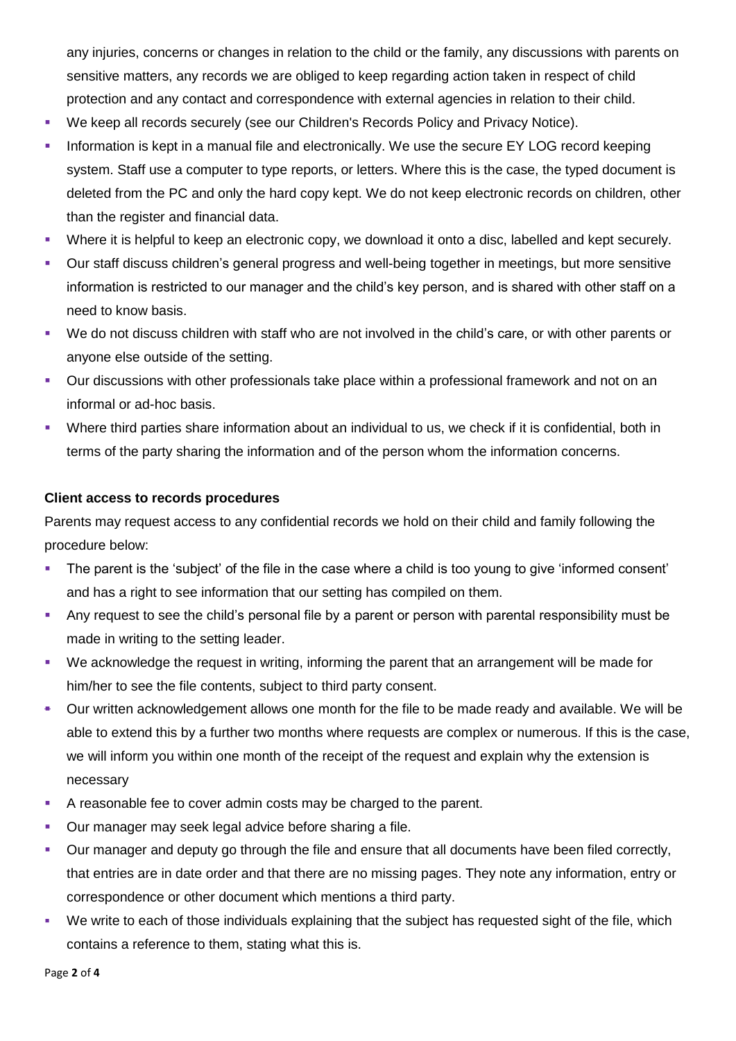any injuries, concerns or changes in relation to the child or the family, any discussions with parents on sensitive matters, any records we are obliged to keep regarding action taken in respect of child protection and any contact and correspondence with external agencies in relation to their child.

- We keep all records securely (see our Children's Records Policy and Privacy Notice).
- Information is kept in a manual file and electronically. We use the secure EY LOG record keeping system. Staff use a computer to type reports, or letters. Where this is the case, the typed document is deleted from the PC and only the hard copy kept. We do not keep electronic records on children, other than the register and financial data.
- Where it is helpful to keep an electronic copy, we download it onto a disc, labelled and kept securely.
- Our staff discuss children's general progress and well-being together in meetings, but more sensitive information is restricted to our manager and the child's key person, and is shared with other staff on a need to know basis.
- We do not discuss children with staff who are not involved in the child's care, or with other parents or anyone else outside of the setting.
- Our discussions with other professionals take place within a professional framework and not on an informal or ad-hoc basis.
- Where third parties share information about an individual to us, we check if it is confidential, both in terms of the party sharing the information and of the person whom the information concerns.

#### **Client access to records procedures**

Parents may request access to any confidential records we hold on their child and family following the procedure below:

- The parent is the 'subject' of the file in the case where a child is too young to give 'informed consent' and has a right to see information that our setting has compiled on them.
- Any request to see the child's personal file by a parent or person with parental responsibility must be made in writing to the setting leader.
- We acknowledge the request in writing, informing the parent that an arrangement will be made for him/her to see the file contents, subject to third party consent.
- Our written acknowledgement allows one month for the file to be made ready and available. We will be able to extend this by a further two months where requests are complex or numerous. If this is the case, we will inform you within one month of the receipt of the request and explain why the extension is necessary
- A reasonable fee to cover admin costs may be charged to the parent.
- Our manager may seek legal advice before sharing a file.
- Our manager and deputy go through the file and ensure that all documents have been filed correctly, that entries are in date order and that there are no missing pages. They note any information, entry or correspondence or other document which mentions a third party.
- We write to each of those individuals explaining that the subject has requested sight of the file, which contains a reference to them, stating what this is.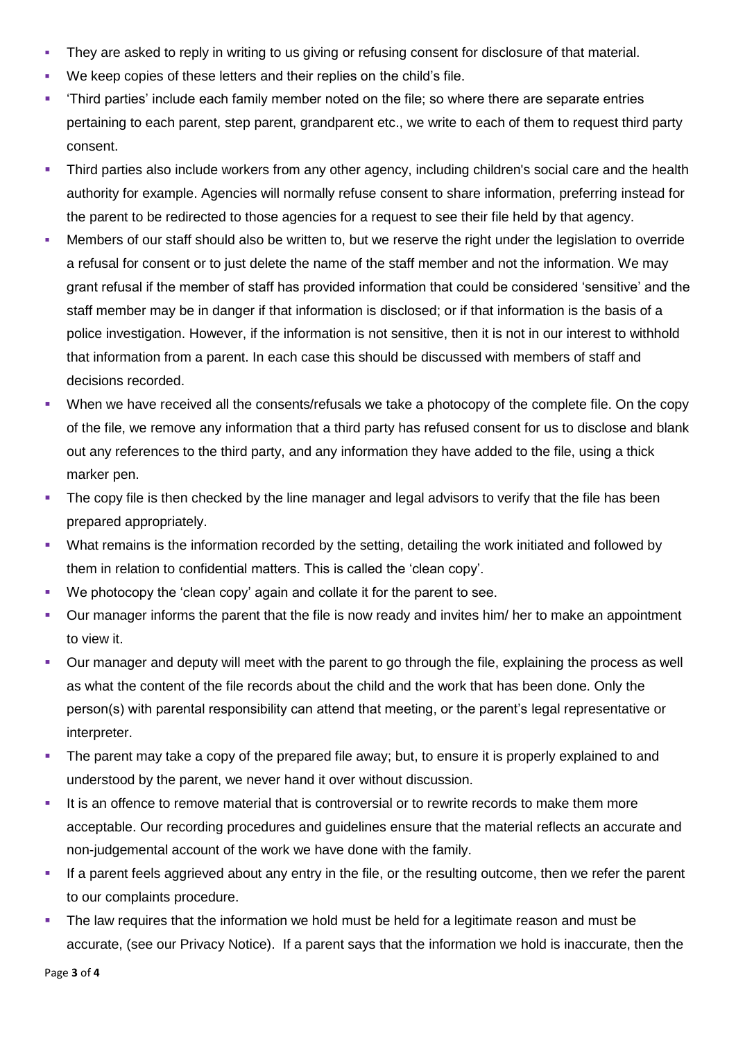- They are asked to reply in writing to us giving or refusing consent for disclosure of that material.
- We keep copies of these letters and their replies on the child's file.
- 'Third parties' include each family member noted on the file; so where there are separate entries pertaining to each parent, step parent, grandparent etc., we write to each of them to request third party consent.
- Third parties also include workers from any other agency, including children's social care and the health authority for example. Agencies will normally refuse consent to share information, preferring instead for the parent to be redirected to those agencies for a request to see their file held by that agency.
- Members of our staff should also be written to, but we reserve the right under the legislation to override a refusal for consent or to just delete the name of the staff member and not the information. We may grant refusal if the member of staff has provided information that could be considered 'sensitive' and the staff member may be in danger if that information is disclosed; or if that information is the basis of a police investigation. However, if the information is not sensitive, then it is not in our interest to withhold that information from a parent. In each case this should be discussed with members of staff and decisions recorded.
- When we have received all the consents/refusals we take a photocopy of the complete file. On the copy of the file, we remove any information that a third party has refused consent for us to disclose and blank out any references to the third party, and any information they have added to the file, using a thick marker pen.
- The copy file is then checked by the line manager and legal advisors to verify that the file has been prepared appropriately.
- What remains is the information recorded by the setting, detailing the work initiated and followed by them in relation to confidential matters. This is called the 'clean copy'.
- We photocopy the 'clean copy' again and collate it for the parent to see.
- Our manager informs the parent that the file is now ready and invites him/ her to make an appointment to view it.
- Our manager and deputy will meet with the parent to go through the file, explaining the process as well as what the content of the file records about the child and the work that has been done. Only the person(s) with parental responsibility can attend that meeting, or the parent's legal representative or interpreter.
- The parent may take a copy of the prepared file away; but, to ensure it is properly explained to and understood by the parent, we never hand it over without discussion.
- It is an offence to remove material that is controversial or to rewrite records to make them more acceptable. Our recording procedures and guidelines ensure that the material reflects an accurate and non-judgemental account of the work we have done with the family.
- If a parent feels aggrieved about any entry in the file, or the resulting outcome, then we refer the parent to our complaints procedure.
- The law requires that the information we hold must be held for a legitimate reason and must be accurate, (see our Privacy Notice). If a parent says that the information we hold is inaccurate, then the